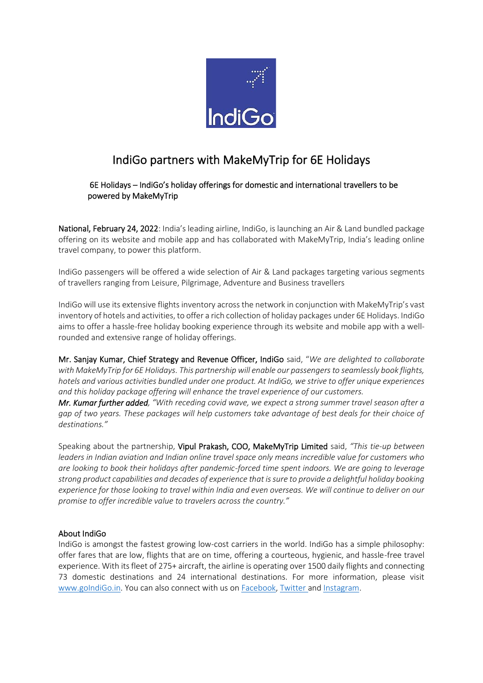

## IndiGo partners with MakeMyTrip for 6E Holidays

 6E Holidays – IndiGo's holiday offerings for domestic and international travellers to be powered by MakeMyTrip

National, February 24, 2022: India's leading airline, IndiGo, is launching an Air & Land bundled package offering on its website and mobile app and has collaborated with MakeMyTrip, India's leading online travel company, to power this platform.

IndiGo passengers will be offered a wide selection of Air & Land packages targeting various segments of travellers ranging from Leisure, Pilgrimage, Adventure and Business travellers

IndiGo will use its extensive flights inventory across the network in conjunction with MakeMyTrip's vast inventory of hotels and activities, to offer a rich collection of holiday packages under 6E Holidays. IndiGo aims to offer a hassle-free holiday booking experience through its website and mobile app with a wellrounded and extensive range of holiday offerings.

Mr. Sanjay Kumar, Chief Strategy and Revenue Officer, IndiGo said, "*We are delighted to collaborate with MakeMyTrip for 6E Holidays. This partnership will enable our passengers to seamlessly book flights, hotels and various activities bundled under one product. At IndiGo, we strive to offer unique experiences and this holiday package offering will enhance the travel experience of our customers.* 

*Mr. Kumar further added, "With receding covid wave, we expect a strong summer travel season after a gap of two years. These packages will help customers take advantage of best deals for their choice of destinations."* 

Speaking about the partnership, Vipul Prakash, COO, MakeMyTrip Limited said, *"This tie-up between leaders in Indian aviation and Indian online travel space only means incredible value for customers who are looking to book their holidays after pandemic-forced time spent indoors. We are going to leverage strong product capabilities and decades of experience that is sure to provide a delightful holiday booking experience for those looking to travel within India and even overseas. We will continue to deliver on our promise to offer incredible value to travelers across the country."*

## About IndiGo

IndiGo is amongst the fastest growing low-cost carriers in the world. IndiGo has a simple philosophy: offer fares that are low, flights that are on time, offering a courteous, hygienic, and hassle-free travel experience. With its fleet of 275+ aircraft, the airline is operating over 1500 daily flights and connecting 73 domestic destinations and 24 international destinations. For more information, please visit [www.goIndiGo.in.](http://www.goindigo.in/) You can also connect with us on [Facebook,](https://urldefense.proofpoint.com/v2/url?u=https-3A__www.facebook.com_goindigo.in_&d=DwMGaQ&c=qwStF0e4-YFyvjCeML3ehA&r=wP6ehsLHl1ir1UL4YeptzYIRG_X-5mxSgPSttnl0snU&m=p8LqOaon_fdw5TeJaYXKS29RYnE0r6UhSXUGcsH987Y&s=oVbXHx1oR_Zuz25DfqHGB8_A_59Vx96CmIKRHPfN7T4&e=) [Twitter](https://urldefense.proofpoint.com/v2/url?u=https-3A__twitter.com_IndiGo6E&d=DwMGaQ&c=qwStF0e4-YFyvjCeML3ehA&r=wP6ehsLHl1ir1UL4YeptzYIRG_X-5mxSgPSttnl0snU&m=p8LqOaon_fdw5TeJaYXKS29RYnE0r6UhSXUGcsH987Y&s=CCPyoir0kyDbtaC-D-LuuPEMk_hPRtGfYF877gdX4q0&e=) an[d Instagram.](https://urldefense.proofpoint.com/v2/url?u=https-3A__www.instagram.com_indigo.6e_-3Fhl-3Den&d=DwMGaQ&c=qwStF0e4-YFyvjCeML3ehA&r=wP6ehsLHl1ir1UL4YeptzYIRG_X-5mxSgPSttnl0snU&m=p8LqOaon_fdw5TeJaYXKS29RYnE0r6UhSXUGcsH987Y&s=uK4xoztSxpp3TfP94mZ0NmR2NQQaxBRxW-HOYD5RAf4&e=)